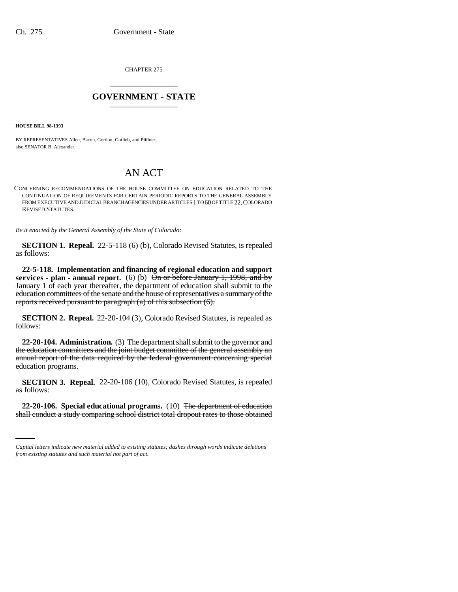CHAPTER 275 \_\_\_\_\_\_\_\_\_\_\_\_\_\_\_

## **GOVERNMENT - STATE** \_\_\_\_\_\_\_\_\_\_\_\_\_\_\_

**HOUSE BILL 98-1393**

BY REPRESENTATIVES Allen, Bacon, Gordon, Gotlieb, and Pfiffner; also SENATOR B. Alexander.

## AN ACT

CONCERNING RECOMMENDATIONS OF THE HOUSE COMMITTEE ON EDUCATION RELATED TO THE CONTINUATION OF REQUIREMENTS FOR CERTAIN PERIODIC REPORTS TO THE GENERAL ASSEMBLY FROM EXECUTIVE AND JUDICIAL BRANCH AGENCIES UNDER ARTICLES 1 TO 60 OF TITLE 22, COLORADO REVISED STATUTES.

*Be it enacted by the General Assembly of the State of Colorado:*

**SECTION 1. Repeal.** 22-5-118 (6) (b), Colorado Revised Statutes, is repealed as follows:

**22-5-118. Implementation and financing of regional education and support services - plan - annual report.** (6) (b) On or before January 1, 1998, and by January 1 of each year thereafter, the department of education shall submit to the education committees of the senate and the house of representatives a summary of the reports received pursuant to paragraph (a) of this subsection (6).

**SECTION 2. Repeal.** 22-20-104 (3), Colorado Revised Statutes, is repealed as follows:

**22-20-104. Administration.** (3) The department shall submit to the governor and the education committees and the joint budget committee of the general assembly an annual report of the data required by the federal government concerning special education programs.

**SECTION 3. Repeal.** 22-20-106 (10), Colorado Revised Statutes, is repealed as follows:

 **22-20-106. Special educational programs.** (10) The department of education shall conduct a study comparing school district total dropout rates to those obtained

*Capital letters indicate new material added to existing statutes; dashes through words indicate deletions from existing statutes and such material not part of act.*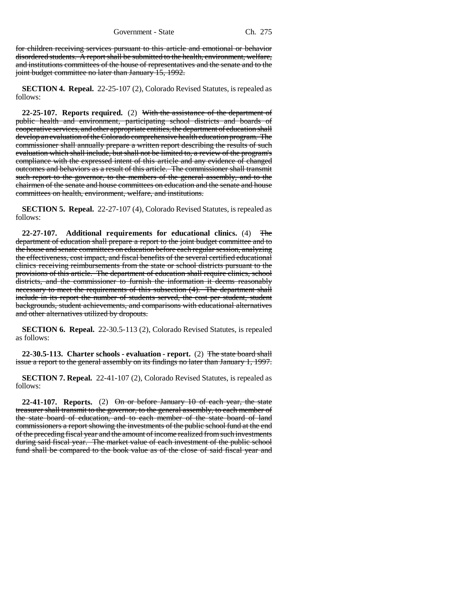for children receiving services pursuant to this article and emotional or behavior disordered students. A report shall be submitted to the health, environment, welfare, and institutions committees of the house of representatives and the senate and to the joint budget committee no later than January 15, 1992.

**SECTION 4. Repeal.** 22-25-107 (2), Colorado Revised Statutes, is repealed as follows:

**22-25-107. Reports required.** (2) With the assistance of the department of public health and environment, participating school districts and boards of cooperative services, and other appropriate entities, the department of education shall develop an evaluation of the Colorado comprehensive health education program. The commissioner shall annually prepare a written report describing the results of such evaluation which shall include, but shall not be limited to, a review of the program's compliance with the expressed intent of this article and any evidence of changed outcomes and behaviors as a result of this article. The commissioner shall transmit such report to the governor, to the members of the general assembly, and to the chairmen of the senate and house committees on education and the senate and house committees on health, environment, welfare, and institutions.

**SECTION 5. Repeal.** 22-27-107 (4), Colorado Revised Statutes, is repealed as follows:

**22-27-107. Additional requirements for educational clinics.** (4) The department of education shall prepare a report to the joint budget committee and to the house and senate committees on education before each regular session, analyzing the effectiveness, cost impact, and fiscal benefits of the several certified educational clinics receiving reimbursements from the state or school districts pursuant to the provisions of this article. The department of education shall require clinics, school districts, and the commissioner to furnish the information it deems reasonably necessary to meet the requirements of this subsection (4). The department shall include in its report the number of students served, the cost per student, student backgrounds, student achievements, and comparisons with educational alternatives and other alternatives utilized by dropouts.

**SECTION 6. Repeal.** 22-30.5-113 (2), Colorado Revised Statutes, is repealed as follows:

**22-30.5-113. Charter schools - evaluation - report.** (2) The state board shall issue a report to the general assembly on its findings no later than January 1, 1997.

**SECTION 7. Repeal.** 22-41-107 (2), Colorado Revised Statutes, is repealed as follows:

**22-41-107. Reports.** (2) On or before January 10 of each year, the state treasurer shall transmit to the governor, to the general assembly, to each member of the state board of education, and to each member of the state board of land commissioners a report showing the investments of the public school fund at the end of the preceding fiscal year and the amount of income realized from such investments during said fiscal year. The market value of each investment of the public school fund shall be compared to the book value as of the close of said fiscal year and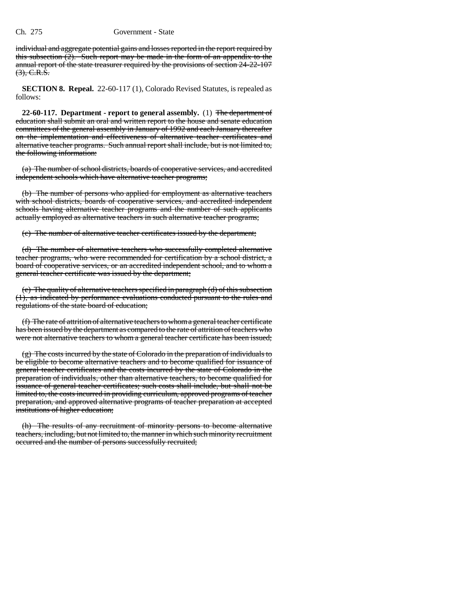## Ch. 275 Government - State

individual and aggregate potential gains and losses reported in the report required by this subsection  $(2)$ . Such report may be made in the form of an appendix to the annual report of the state treasurer required by the provisions of section 24-22-107  $(3)$ , C.R.S.

**SECTION 8. Repeal.** 22-60-117 (1), Colorado Revised Statutes, is repealed as follows:

**22-60-117. Department - report to general assembly.** (1) The department of education shall submit an oral and written report to the house and senate education committees of the general assembly in January of 1992 and each January thereafter on the implementation and effectiveness of alternative teacher certificates and alternative teacher programs. Such annual report shall include, but is not limited to, the following information:

(a) The number of school districts, boards of cooperative services, and accredited independent schools which have alternative teacher programs;

(b) The number of persons who applied for employment as alternative teachers with school districts, boards of cooperative services, and accredited independent schools having alternative teacher programs and the number of such applicants actually employed as alternative teachers in such alternative teacher programs;

(c) The number of alternative teacher certificates issued by the department;

(d) The number of alternative teachers who successfully completed alternative teacher programs, who were recommended for certification by a school district, a board of cooperative services, or an accredited independent school, and to whom a general teacher certificate was issued by the department;

(e) The quality of alternative teachers specified in paragraph (d) of this subsection (1), as indicated by performance evaluations conducted pursuant to the rules and regulations of the state board of education;

(f) The rate of attrition of alternative teachers to whom a general teacher certificate has been issued by the department as compared to the rate of attrition of teachers who were not alternative teachers to whom a general teacher certificate has been issued;

(g) The costs incurred by the state of Colorado in the preparation of individuals to be eligible to become alternative teachers and to become qualified for issuance of general teacher certificates and the costs incurred by the state of Colorado in the preparation of individuals, other than alternative teachers, to become qualified for issuance of general teacher certificates; such costs shall include, but shall not be limited to, the costs incurred in providing curriculum, approved programs of teacher preparation, and approved alternative programs of teacher preparation at accepted institutions of higher education;

(h) The results of any recruitment of minority persons to become alternative teachers, including, but not limited to, the manner in which such minority recruitment occurred and the number of persons successfully recruited;